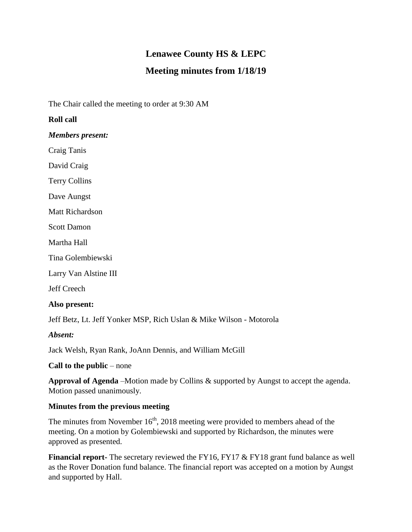# **Lenawee County HS & LEPC**

## **Meeting minutes from 1/18/19**

The Chair called the meeting to order at 9:30 AM

### **Roll call**

*Members present:*

Craig Tanis

David Craig

Terry Collins

Dave Aungst

Matt Richardson

Scott Damon

Martha Hall

Tina Golembiewski

Larry Van Alstine III

Jeff Creech

#### **Also present:**

Jeff Betz, Lt. Jeff Yonker MSP, Rich Uslan & Mike Wilson - Motorola

*Absent:*

Jack Welsh, Ryan Rank, JoAnn Dennis, and William McGill

**Call to the public** – none

**Approval of Agenda** –Motion made by Collins & supported by Aungst to accept the agenda. Motion passed unanimously.

#### **Minutes from the previous meeting**

The minutes from November  $16<sup>th</sup>$ , 2018 meeting were provided to members ahead of the meeting. On a motion by Golembiewski and supported by Richardson, the minutes were approved as presented.

**Financial report-** The secretary reviewed the FY16, FY17 & FY18 grant fund balance as well as the Rover Donation fund balance. The financial report was accepted on a motion by Aungst and supported by Hall.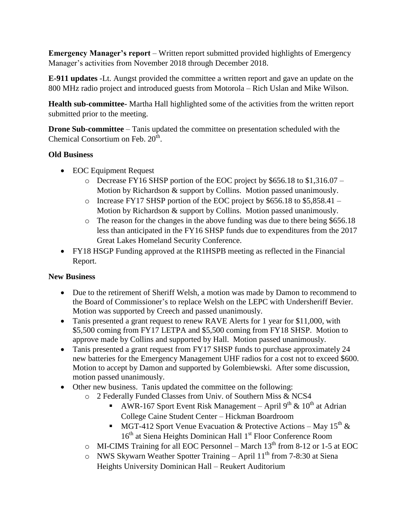**Emergency Manager's report** – Written report submitted provided highlights of Emergency Manager's activities from November 2018 through December 2018.

**E-911 updates** -Lt. Aungst provided the committee a written report and gave an update on the 800 MHz radio project and introduced guests from Motorola – Rich Uslan and Mike Wilson.

**Health sub-committee-** Martha Hall highlighted some of the activities from the written report submitted prior to the meeting.

**Drone Sub-committee** – Tanis updated the committee on presentation scheduled with the Chemical Consortium on Feb.  $20^{\text{th}}$ .

## **Old Business**

- EOC Equipment Request
	- o Decrease FY16 SHSP portion of the EOC project by \$656.18 to \$1,316.07 Motion by Richardson & support by Collins. Motion passed unanimously.
	- o Increase FY17 SHSP portion of the EOC project by  $$656.18$  to  $$5,858.41$  Motion by Richardson & support by Collins. Motion passed unanimously.
	- o The reason for the changes in the above funding was due to there being \$656.18 less than anticipated in the FY16 SHSP funds due to expenditures from the 2017 Great Lakes Homeland Security Conference.
- FY18 HSGP Funding approved at the R1HSPB meeting as reflected in the Financial Report.

## **New Business**

- Due to the retirement of Sheriff Welsh, a motion was made by Damon to recommend to the Board of Commissioner's to replace Welsh on the LEPC with Undersheriff Bevier. Motion was supported by Creech and passed unanimously.
- Tanis presented a grant request to renew RAVE Alerts for 1 year for \$11,000, with \$5,500 coming from FY17 LETPA and \$5,500 coming from FY18 SHSP. Motion to approve made by Collins and supported by Hall. Motion passed unanimously.
- Tanis presented a grant request from FY17 SHSP funds to purchase approximately 24 new batteries for the Emergency Management UHF radios for a cost not to exceed \$600. Motion to accept by Damon and supported by Golembiewski. After some discussion, motion passed unanimously.
- Other new business. Tanis updated the committee on the following:
	- o 2 Federally Funded Classes from Univ. of Southern Miss & NCS4
		- AWR-167 Sport Event Risk Management April 9<sup>th</sup> & 10<sup>th</sup> at Adrian College Caine Student Center – Hickman Boardroom
		- MGT-412 Sport Venue Evacuation & Protective Actions May  $15^{th}$  & 16<sup>th</sup> at Siena Heights Dominican Hall 1<sup>st</sup> Floor Conference Room
	- $\circ$  MI-CIMS Training for all EOC Personnel March 13<sup>th</sup> from 8-12 or 1-5 at EOC
	- $\circ$  NWS Skywarn Weather Spotter Training April 11<sup>th</sup> from 7-8:30 at Siena Heights University Dominican Hall – Reukert Auditorium